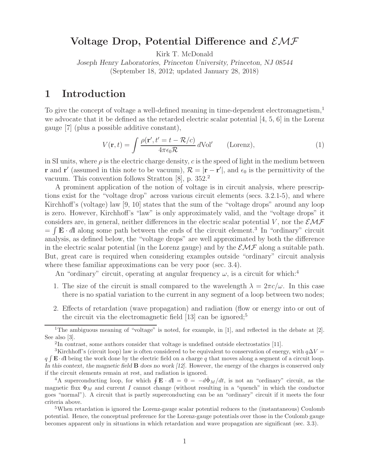# **Voltage Drop, Potential Difference and** EMF

Kirk T. McDonald

*Joseph Henry Laboratories, Princeton University, Princeton, NJ 08544* (September 18, 2012; updated January 28, 2018)

# **1 Introduction**

To give the concept of voltage a well-defined meaning in time-dependent electromagnetism,<sup>1</sup> we advocate that it be defined as the retarded electric scalar potential [4, 5, 6] in the Lorenz gauge [7] (plus a possible additive constant),

$$
V(\mathbf{r},t) = \int \frac{\rho(\mathbf{r}',t'=t-\mathcal{R}/c)}{4\pi\epsilon_0\mathcal{R}} \, d\text{Vol}' \qquad \text{(Lorenz)},\tag{1}
$$

in SI units, where  $\rho$  is the electric charge density, c is the speed of light in the medium between **r** and **r**<sup> $\prime$ </sup> (assumed in this note to be vacuum),  $\mathcal{R} = |\mathbf{r} - \mathbf{r}'|$ , and  $\epsilon_0$  is the permittivity of the vacuum. This convention follows Stratton [8], p. 352.<sup>2</sup>

A prominent application of the notion of voltage is in circuit analysis, where prescriptions exist for the "voltage drop" across various circuit elements (secs. 3.2.1-5), and where Kirchhoff's (voltage) law [9, 10] states that the sum of the "voltage drops" around any loop is zero. However, Kirchhoff's "law" is only approximately valid, and the "voltage drops" it considers are, in general, neither differences in the electric scalar potential V, nor the  $\mathcal{EMF}$  $= \int \mathbf{E} \cdot d\mathbf{l}$  along some path between the ends of the circuit element.<sup>3</sup> In "ordinary" circuit analysis, as defined below, the "voltage drops" are well approximated by both the difference in the electric scalar potential (in the Lorenz gauge) and by the  $\mathcal{EMF}$  along a suitable path. But, great care is required when considering examples outside "ordinary" circuit analysis where these familiar approximations can be very poor (sec. 3.4).

An "ordinary" circuit, operating at angular frequency  $\omega$ , is a circuit for which:<sup>4</sup>

- 1. The size of the circuit is small compared to the wavelength  $\lambda = 2\pi c/\omega$ . In this case there is no spatial variation to the current in any segment of a loop between two nodes;
- 2. Effects of retardation (wave propagation) and radiation (flow or energy into or out of the circuit via the electromagnetic field  $[13]$  can be ignored;<sup>5</sup>

<sup>&</sup>lt;sup>1</sup>The ambiguous meaning of "voltage" is noted, for example, in [1], and reflected in the debate at [2]. See also [3].

<sup>2</sup>In contrast, some authors consider that voltage is undefined outside electrostatics [11].

<sup>&</sup>lt;sup>3</sup>Kirchhoff's (circuit loop) law is often considered to be equivalent to conservation of energy, with  $q\Delta V =$ q **<sup>E</sup>**· <sup>d</sup>**<sup>l</sup>** being the work done by the electric field on a charge <sup>q</sup> that moves along a segment of a circuit loop. *In this context, the magnetic field* **B** *does no work [12].* However, the energy of the charges is conserved only if the circuit elements remain at rest, and radiation is ignored.

<sup>&</sup>lt;sup>4</sup>A superconducting loop, for which  $\oint \mathbf{E} \cdot d\mathbf{l} = 0 = -d\Phi_M/dt$ , is not an "ordinary" circuit, as the magnetic flux  $\Phi_M$  and current I cannot change (without resulting in a "quench" in which the conductor goes "normal"). A circuit that is partly superconducting can be an "ordinary" circuit if it meets the four criteria above.

<sup>&</sup>lt;sup>5</sup>When retardation is ignored the Lorenz-gauge scalar potential reduces to the (instantaneous) Coulomb potential. Hence, the conceptual preference for the Lorenz-gauge potentials over those in the Coulomb gauge becomes apparent only in situations in which retardation and wave propagation are significant (sec. 3.3).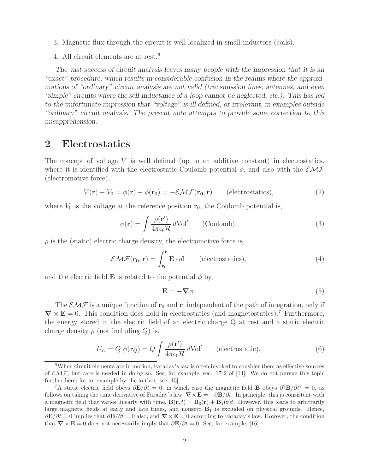- 3. Magnetic flux through the circuit is well localized in small inductors (coils).
- 4. All circuit elements are at rest.<sup>6</sup>

*The vast success of circuit analysis leaves many people with the impression that it is an "exact" procedure, which results in considerable confusion in the realms where the approximations of "ordinary" circuit analysis are not valid (transmission lines, antennas, and even "simple" circuits where the self inductance of a loop cannot be neglected, etc.). This has led to the unfortunate impression that "voltage" is ill defined, or irrelevant, in examples outside "ordinary" circuit analysis. The present note attempts to provide some correction to this misapprehension.*

# **2 Electrostatics**

The concept of voltage  $V$  is well defined (up to an additive constant) in electrostatics, where it is identified with the electrostatic Coulomb potential  $\phi$ , and also with the  $\mathcal{EMF}$ (electromotive force),

$$
V(\mathbf{r}) - V_0 = \phi(\mathbf{r}) - \phi(\mathbf{r}_0) = -\mathcal{E}\mathcal{M}\mathcal{F}(\mathbf{r}_0, \mathbf{r})
$$
 (electrostatics), (2)

where  $V_0$  is the voltage at the reference position  $r_0$ , the Coulomb potential is,

$$
\phi(\mathbf{r}) = \int \frac{\rho(\mathbf{r}')}{4\pi\epsilon_0 \mathcal{R}} d\text{Vol}' \qquad \text{(Coulomb)},\tag{3}
$$

 $\rho$  is the (static) electric charge density, the electromotive force is,

$$
\mathcal{EMF}(\mathbf{r_0}, \mathbf{r}) = \int_{\mathbf{r_0}}^{\mathbf{r}} \mathbf{E} \cdot d\mathbf{l} \qquad \text{(electrostatics)},\tag{4}
$$

and the electric field **E** is related to the potential  $\phi$  by,

$$
\mathbf{E} = -\nabla \phi. \tag{5}
$$

The  $\mathcal{EMF}$  is a unique function of  $\mathbf{r}_0$  and  $\mathbf{r}_1$ , independent of the path of integration, only if  $\nabla \times \mathbf{E} = 0$ . This condition does hold in electrostatics (and magnetostatics).<sup>7</sup> Furthermore, the energy stored in the electric field of an electric charge Q at rest and a static electric charge density  $\rho$  (not including  $Q$ ) is,

$$
U_E = Q \phi(\mathbf{r}_Q) = Q \int \frac{\rho(\mathbf{r}')}{4\pi\epsilon_0 \mathcal{R}} d\text{Vol}' \qquad \text{(electrostatic)},\tag{6}
$$

<sup>&</sup>lt;sup>6</sup>When circuit elements are in motion, Faraday's law is often invoked to consider them as effective sources of  $\mathcal{EMF}$ , but care is needed in doing so. See, for example, sec. 17-2 of [14]. We do not pursue this topic further here; for an example by the author, see [15].

<sup>&</sup>lt;sup>7</sup>A static electric field obeys  $\partial \mathbf{E}/\partial t = 0$ , in which case the magnetic field **B** obeys  $\partial^2 \mathbf{B}/\partial t^2 = 0$ , as follows on taking the time derivative of Faraday's law,  $\nabla \times \mathbf{E} = -\partial \mathbf{B}/\partial t$ . In principle, this is consistent with a magnetic field that varies linearly with time,  $\mathbf{B}(\mathbf{r},t) = \mathbf{B}_0(\mathbf{r}) + \mathbf{B}_1(\mathbf{r})t$ . However, this leads to arbitrarily large magnetic fields at early and late times, and nonzero **B**<sup>1</sup> is excluded on physical grounds. Hence,  $\partial \mathbf{E}/\partial t = 0$  implies that  $\partial \mathbf{B}/\partial t = 0$  also, and  $\nabla \times \mathbf{E} = 0$  according to Faraday's law. However, the condition that  $\nabla \times \mathbf{E} = 0$  does not necessarily imply that  $\partial \mathbf{E}/\partial t = 0$ . See, for example, [16].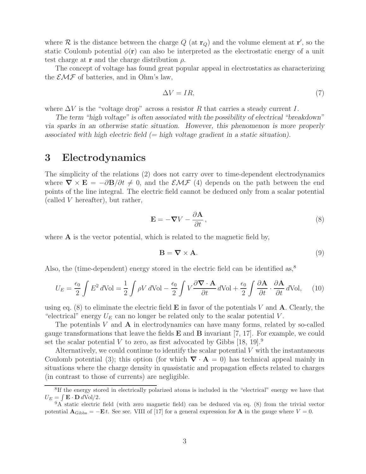where  $\mathcal{R}$  is the distance between the charge  $Q$  (at  $\mathbf{r}_Q$ ) and the volume element at  $\mathbf{r}'$ , so the static Coulomb potential  $\phi(\mathbf{r})$  can also be interpreted as the electrostatic energy of a unit test charge at **r** and the charge distribution ρ.

The concept of voltage has found great popular appeal in electrostatics as characterizing the  $\mathcal{EMF}$  of batteries, and in Ohm's law,

$$
\Delta V = IR,\tag{7}
$$

where  $\Delta V$  is the "voltage drop" across a resistor R that carries a steady current I.

*The term "high voltage" is often associated with the possibility of electrical "breakdown" via sparks in an otherwise static situation. However, this phenomenon is more properly associated with high electric field (= high voltage gradient in a static situation).*

# **3 Electrodynamics**

The simplicity of the relations (2) does not carry over to time-dependent electrodynamics where  $\nabla \times \mathbf{E} = -\partial \mathbf{B}/\partial t \neq 0$ , and the  $\mathcal{EMF}(4)$  depends on the path between the end points of the line integral. The electric field cannot be deduced only from a scalar potential (called V hereafter), but rather,

$$
\mathbf{E} = -\nabla V - \frac{\partial \mathbf{A}}{\partial t},\tag{8}
$$

where  $\bf{A}$  is the vector potential, which is related to the magnetic field by,

$$
\mathbf{B} = \nabla \times \mathbf{A}.\tag{9}
$$

Also, the (time-dependent) energy stored in the electric field can be identified as,<sup>8</sup>

$$
U_E = \frac{\epsilon_0}{2} \int E^2 d\text{Vol} = \frac{1}{2} \int \rho V d\text{Vol} - \frac{\epsilon_0}{2} \int V \frac{\partial \nabla \cdot \mathbf{A}}{\partial t} d\text{Vol} + \frac{\epsilon_0}{2} \int \frac{\partial \mathbf{A}}{\partial t} \cdot \frac{\partial \mathbf{A}}{\partial t} d\text{Vol}, \quad (10)
$$

using eq. (8) to eliminate the electric field **E** in favor of the potentials V and **A**. Clearly, the "electrical" energy  $U_F$  can no longer be related only to the scalar potential V.

The potentials V and **A** in electrodynamics can have many forms, related by so-called gauge transformations that leave the fields **E** and **B** invariant [7, 17]. For example, we could set the scalar potential V to zero, as first advocated by Gibbs  $[18, 19]$ <sup>9</sup>

Alternatively, we could continue to identify the scalar potential  $V$  with the instantaneous Coulomb potential (3); this option (for which  $\nabla \cdot \mathbf{A} = 0$ ) has technical appeal mainly in situations where the charge density in quasistatic and propagation effects related to charges (in contrast to those of currents) are negligible.

<sup>&</sup>lt;sup>8</sup>If the energy stored in electrically polarized atoms is included in the "electrical" energy we have that  $U_E = \int \mathbf{E} \cdot \mathbf{D} d\text{Vol}/2.$ 

 $9A$  static electric field (with zero magnetic field) can be deduced via eq. (8) from the trivial vector potential  $\mathbf{A}_{\text{Gibbs}} = -\mathbf{E}t$ . See sec. VIII of [17] for a general expression for  $\mathbf{A}$  in the gauge where  $V = 0$ .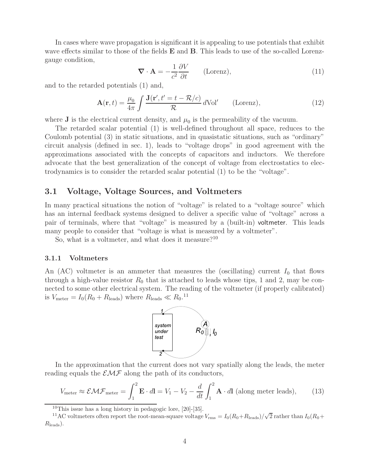In cases where wave propagation is significant it is appealing to use potentials that exhibit wave effects similar to those of the fields **E** and **B**. This leads to use of the so-called Lorenzgauge condition,

$$
\nabla \cdot \mathbf{A} = -\frac{1}{c^2} \frac{\partial V}{\partial t} \qquad \text{(Lorenz)},\tag{11}
$$

and to the retarded potentials (1) and,

$$
\mathbf{A}(\mathbf{r},t) = \frac{\mu_0}{4\pi} \int \frac{\mathbf{J}(\mathbf{r}',t'=t-\mathcal{R}/c)}{\mathcal{R}} \, d\text{Vol}' \qquad \text{(Lorenz)},\tag{12}
$$

where **J** is the electrical current density, and  $\mu_0$  is the permeability of the vacuum.

The retarded scalar potential (1) is well-defined throughout all space, reduces to the Coulomb potential (3) in static situations, and in quasistatic situations, such as "ordinary" circuit analysis (defined in sec. 1), leads to "voltage drops" in good agreement with the approximations associated with the concepts of capacitors and inductors. We therefore advocate that the best generalization of the concept of voltage from electrostatics to electrodynamics is to consider the retarded scalar potential (1) to be the "voltage".

# **3.1 Voltage, Voltage Sources, and Voltmeters**

In many practical situations the notion of "voltage" is related to a "voltage source" which has an internal feedback systems designed to deliver a specific value of "voltage" across a pair of terminals, where that "voltage" is measured by a (built-in) voltmeter. This leads many people to consider that "voltage is what is measured by a voltmeter".

So, what is a voltmeter, and what does it measure? $10$ 

#### **3.1.1 Voltmeters**

An (AC) voltmeter is an ammeter that measures the (oscillating) current  $I_0$  that flows through a high-value resistor  $R_0$  that is attached to leads whose tips, 1 and 2, may be connected to some other electrical system. The reading of the voltmeter (if properly calibrated) is  $V_{\text{meter}} = I_0 (R_0 + R_{\text{leads}})$  where  $R_{\text{leads}} \ll R_0$ .<sup>11</sup>



In the approximation that the current does not vary spatially along the leads, the meter reading equals the  $\mathcal{EMF}$  along the path of its conductors,

$$
V_{\text{meter}} \approx \mathcal{EMF}_{\text{meter}} = \int_{1}^{2} \mathbf{E} \cdot d\mathbf{l} = V_{1} - V_{2} - \frac{d}{dt} \int_{1}^{2} \mathbf{A} \cdot d\mathbf{l} \text{ (along meter leads)}, \qquad (13)
$$

<sup>&</sup>lt;sup>10</sup>This issue has a long history in pedagogic lore,  $[20]$ - $[35]$ .

<sup>&</sup>lt;sup>11</sup>AC voltmeters often report the root-mean-square voltage  $V_{\text{rms}} = I_0 (R_0 + R_{\text{leads}})/\sqrt{2}$  rather than  $I_0 (R_0 +$  $R_{\text{leads}}$ ).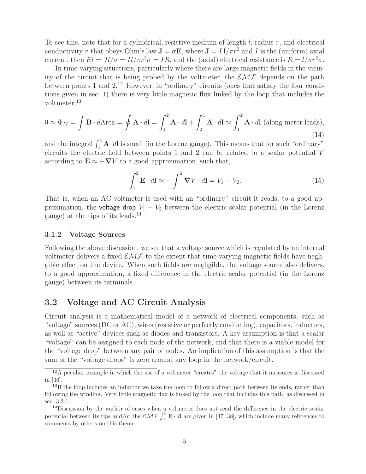To see this, note that for a cylindrical, resistive medium of length  $l$ , radius  $r$ , and electrical conductivity  $\sigma$  that obeys Ohm's law  $\mathbf{J} = \sigma \mathbf{E}$ , where  $\mathbf{J} = I \hat{\mathbf{l}} / \pi r^2$  and I is the (uniform) axial current, then  $El = Jl/\sigma = Il/\pi r^2 \sigma = IR$ , and the (axial) electrical resistance is  $R = l/\pi r^2 \sigma$ .

In time-varying situations, particularly where there are large magnetic fields in the vicinity of the circuit that is being probed by the voltmeter, the  $\mathcal{EMF}$  depends on the path between points 1 and 2.<sup>12</sup> However, in "ordinary" circuits (ones that satisfy the four conditions given in sec. 1) there is very little magnetic flux linked by the loop that includes the voltmeter,  $^{13}$ 

$$
0 \approx \Phi_M = \int \mathbf{B} \cdot d\mathbf{A} \text{rea} = \oint \mathbf{A} \cdot d\mathbf{l} = \int_1^2 \mathbf{A} \cdot d\mathbf{l} + \int_2^1 \mathbf{A} \cdot d\mathbf{l} \approx \int_1^2 \mathbf{A} \cdot d\mathbf{l} \text{ (along meter leads)},\tag{14}
$$

and the integral  $\int_1^2 \mathbf{A} \cdot d\mathbf{l}$  is small (in the Lorenz gauge). This means that for such "ordinary" circuits the electric field between points 1 and 2 can be related to a scalar potential V according to  $\mathbf{E} \approx -\nabla V$  to a good approximation, such that,

$$
\int_{1}^{2} \mathbf{E} \cdot d\mathbf{l} \approx -\int_{1}^{2} \mathbf{\nabla} V \cdot d\mathbf{l} = V_{1} - V_{2}.
$$
 (15)

That is, when an AC voltmeter is used with an "ordinary" circuit it reads, to a good approximation, the voltage drop  $V_1 - V_2$  between the electric scalar potential (in the Lorenz gauge) at the tips of its leads.<sup>14</sup>

#### **3.1.2 Voltage Sources**

Following the above discussion, we see that a voltage source which is regulated by an internal voltmeter delivers a fixed  $\mathcal{EMF}$  to the extent that time-varying magnetic fields have negligible effect on the device. When such fields are negligible, the voltage source also delivers, to a good approximation, a fixed difference in the electric scalar potential (in the Lorenz gauge) between its terminals.

## **3.2 Voltage and AC Circuit Analysis**

Circuit analysis is a mathematical model of a network of electrical components, such as "voltage" sources (DC or AC), wires (resistive or perfectly conducting), capacitors, inductors, as well as "active" devices such as diodes and transistors. A key assumption is that a scalar "voltage" can be assigned to each node of the network, and that there is a viable model for the "voltage drop" between any pair of nodes. An implication of this assumption is that the sum of the "voltage drops" is zero around any loop in the network/circuit.

 $12A$  peculiar example in which the use of a voltmeter "creates" the voltage that it measures is discussed in [36].

<sup>&</sup>lt;sup>13</sup>If the loop includes an inductor we take the loop to follow a direct path between its ends, rather than following the winding. Very little magnetic flux is linked by the loop that includes this path, as discussed in sec. 3.2.1.

<sup>14</sup>Discussion by the author of cases when a voltmeter does not read the difference in the electric scalar potential between its tips and/or the  $\mathcal{EMF} \int_1^2 \mathbf{E} \cdot d\mathbf{l}$  are given in [37, 38], which include many references to comments by others on this theme.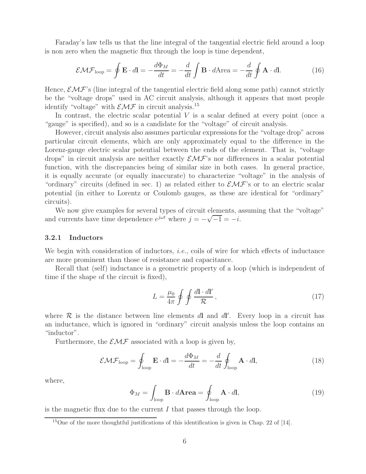Faraday's law tells us that the line integral of the tangential electric field around a loop is non zero when the magnetic flux through the loop is time dependent,

$$
\mathcal{EMF}_{\text{loop}} = \oint \mathbf{E} \cdot d\mathbf{l} = -\frac{d\Phi_M}{dt} = -\frac{d}{dt} \int \mathbf{B} \cdot d\mathbf{A} \text{rea} = -\frac{d}{dt} \oint \mathbf{A} \cdot d\mathbf{l}.
$$
 (16)

Hence,  $\mathcal{EMF}$ 's (line integral of the tangential electric field along some path) cannot strictly be the "voltage drops" used in AC circuit analysis, although it appears that most people identify "voltage" with  $\mathcal{EMF}$  in circuit analysis.<sup>15</sup>

In contrast, the electric scalar potential  $V$  is a scalar defined at every point (once a "gauge" is specified), and so is a candidate for the "voltage" of circuit analysis.

However, circuit analysis also assumes particular expressions for the "voltage drop" across particular circuit elements, which are only approximately equal to the difference in the Lorenz-gauge electric scalar potential between the ends of the element. That is, "voltage drops" in circuit analysis are neither exactly  $\mathcal{EMF}$ 's nor differences in a scalar potential function, with the discrepancies being of similar size in both cases. In general practice, it is equally accurate (or equally inaccurate) to characterize "voltage" in the analysis of "ordinary" circuits (defined in sec. 1) as related either to  $\mathcal{EMF}$ 's or to an electric scalar potential (in either to Lorentz or Coulomb gauges, as these are identical for "ordinary" circuits).

We now give examples for several types of circuit elements, assuming that the "voltage" and currents have time dependence  $e^{j\omega t}$  where  $j = -\sqrt{-1} = -i$ .

### **3.2.1 Inductors**

We begin with consideration of inductors, *i.e.*, coils of wire for which effects of inductance are more prominent than those of resistance and capacitance.

Recall that (self) inductance is a geometric property of a loop (which is independent of time if the shape of the circuit is fixed),

$$
L = \frac{\mu_0}{4\pi} \oint \oint \frac{d\mathbf{l} \cdot d\mathbf{l'}}{\mathcal{R}},\tag{17}
$$

where  $R$  is the distance between line elements  $d\mathbf{l}$  and  $d\mathbf{l}'$ . Every loop in a circuit has an inductance, which is ignored in "ordinary" circuit analysis unless the loop contains an "inductor".

Furthermore, the  $\mathcal{EMF}$  associated with a loop is given by,

$$
\mathcal{EMF}_{\text{loop}} = \oint_{\text{loop}} \mathbf{E} \cdot d\mathbf{l} = -\frac{d\Phi_M}{dt} = -\frac{d}{dt} \oint_{\text{loop}} \mathbf{A} \cdot d\mathbf{l},\tag{18}
$$

where,

$$
\Phi_M = \int_{\text{loop}} \mathbf{B} \cdot d\mathbf{Area} = \oint_{\text{loop}} \mathbf{A} \cdot d\mathbf{l}, \tag{19}
$$

is the magnetic flux due to the current  $I$  that passes through the loop.

<sup>15</sup>One of the more thoughtful justifications of this identification is given in Chap. 22 of [14].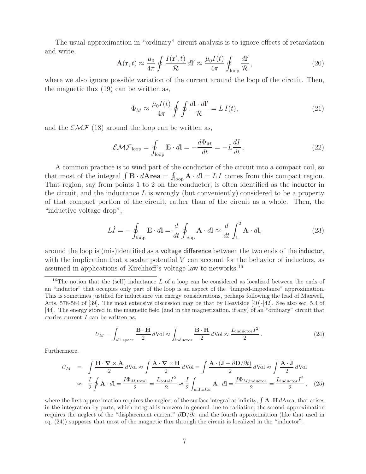The usual approximation in "ordinary" circuit analysis is to ignore effects of retardation and write,

$$
\mathbf{A}(\mathbf{r},t) \approx \frac{\mu_0}{4\pi} \oint \frac{I(\mathbf{r}',t)}{\mathcal{R}} d\mathbf{l}' \approx \frac{\mu_0 I(t)}{4\pi} \oint_{\text{loop}} \frac{d\mathbf{l}'}{\mathcal{R}},\tag{20}
$$

where we also ignore possible variation of the current around the loop of the circuit. Then, the magnetic flux (19) can be written as,

$$
\Phi_M \approx \frac{\mu_0 I(t)}{4\pi} \oint \oint \frac{d\mathbf{l} \cdot d\mathbf{l'}}{\mathcal{R}} = L I(t),\tag{21}
$$

and the  $\mathcal{EMF}$  (18) around the loop can be written as,

$$
\mathcal{EMF}_{\text{loop}} = \oint_{\text{loop}} \mathbf{E} \cdot d\mathbf{l} = -\frac{d\Phi_M}{dt} = -L\frac{dI}{dt}.
$$
 (22)

A common practice is to wind part of the conductor of the circuit into a compact coil, so that most of the integral  $\int \mathbf{B} \cdot d\mathbf{A} \mathbf{r} = \oint_{\text{loop}} \mathbf{A} \cdot d\mathbf{l} = L I$  comes from this compact region. That region, say from points 1 to 2 on the conductor, is often identified as the inductor in the circuit, and the inductance  $L$  is wrongly (but conveniently) considered to be a property of that compact portion of the circuit, rather than of the circuit as a whole. Then, the "inductive voltage drop",

$$
L\dot{I} = -\oint_{\text{loop}} \mathbf{E} \cdot d\mathbf{l} = \frac{d}{dt} \oint_{\text{loop}} \mathbf{A} \cdot d\mathbf{l} \approx \frac{d}{dt} \int_{1}^{2} \mathbf{A} \cdot d\mathbf{l},
$$
 (23)

around the loop is (mis)identified as a voltage difference between the two ends of the inductor, with the implication that a scalar potential  $V$  can account for the behavior of inductors, as assumed in applications of Kirchhoff's voltage law to networks.<sup>16</sup>

$$
U_M = \int_{\text{all space}} \frac{\mathbf{B} \cdot \mathbf{H}}{2} d\text{Vol} \approx \int_{\text{inductor}} \frac{\mathbf{B} \cdot \mathbf{H}}{2} d\text{Vol} \approx \frac{L_{\text{inductor}} I^2}{2}.
$$
 (24)

Furthermore,

$$
U_M = \int \frac{\mathbf{H} \cdot \nabla \times \mathbf{A}}{2} d\text{Vol} \approx \int \frac{\mathbf{A} \cdot \nabla \times \mathbf{H}}{2} d\text{Vol} = \int \frac{\mathbf{A} \cdot (\mathbf{J} + \partial \mathbf{D}/\partial t)}{2} d\text{Vol} \approx \int \frac{\mathbf{A} \cdot \mathbf{J}}{2} d\text{Vol}
$$

$$
\approx \frac{I}{2} \oint \mathbf{A} \cdot d\mathbf{l} = \frac{I\Phi_{M,\text{total}}I^2}{2} = \frac{L_{\text{total}}I^2}{2} \approx \frac{I}{2} \int_{\text{inductor}} \mathbf{A} \cdot d\mathbf{l} = \frac{I\Phi_{M,\text{inductor}}I^2}{2} = \frac{L_{\text{inductor}}I^2}{2}, \quad (25)
$$

where the first approximation requires the neglect of the surface integral at infinity,  $\int \mathbf{A} \cdot \mathbf{H} dA$  rea, that arises in the integration by parts, which integral is nonzero in general due to radiation; the second approximation requires the neglect of the "displacement current"  $\partial \mathbf{D}/\partial t$ ; and the fourth approximation (like that used in eq. (24)) supposes that most of the magnetic flux through the circuit is localized in the "inductor".

<sup>&</sup>lt;sup>16</sup>The notion that the (self) inductance L of a loop can be considered as localized between the ends of an "inductor" that occupies only part of the loop is an aspect of the "lumped-impedance" approximation. This is sometimes justified for inductance via energy considerations, perhaps following the lead of Maxwell, Arts. 578-584 of [39]. The most extensive discussion may be that by Heaviside [40]-[42]. See also sec. 5.4 of [44]. The energy stored in the magnetic field (and in the magnetization, if any) of an "ordinary" circuit that carries current  $I$  can be written as,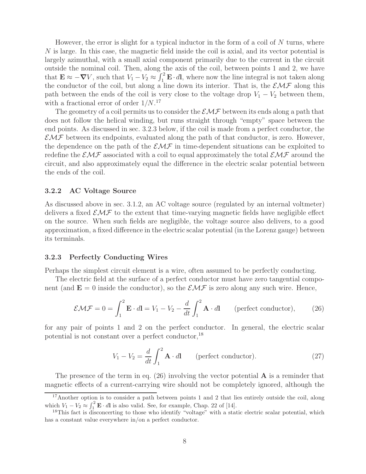However, the error is slight for a typical inductor in the form of a coil of  $N$  turns, where N is large. In this case, the magnetic field inside the coil is axial, and its vector potential is largely azimuthal, with a small axial component primarily due to the current in the circuit outside the nominal coil. Then, along the axis of the coil, between points 1 and 2, we have that  $\mathbf{E} \approx -\nabla V$ , such that  $V_1 - V_2 \approx \int_1^2 \mathbf{E} \cdot d\mathbf{l}$ , where now the line integral is not taken along the conductor of the coil, but along a line down its interior. That is, the  $\mathcal{EMF}$  along this path between the ends of the coil is very close to the voltage drop  $V_1 - V_2$  between them, with a fractional error of order  $1/N$ .<sup>17</sup>

The geometry of a coil permits us to consider the  $\mathcal{EMF}$  between its ends along a path that does not follow the helical winding, but runs straight through "empty" space between the end points. As discussed in sec. 3.2.3 below, if the coil is made from a perfect conductor, the  $EMF$  between its endpoints, evaluated along the path of that conductor, is zero. However, the dependence on the path of the  $\mathcal{EMF}$  in time-dependent situations can be exploited to redefine the  $\mathcal{EMF}$  associated with a coil to equal approximately the total  $\mathcal{EMF}$  around the circuit, and also approximately equal the difference in the electric scalar potential between the ends of the coil.

### **3.2.2 AC Voltage Source**

As discussed above in sec. 3.1.2, an AC voltage source (regulated by an internal voltmeter) delivers a fixed  $\mathcal{EMF}$  to the extent that time-varying magnetic fields have negligible effect on the source. When such fields are negligible, the voltage source also delivers, to a good approximation, a fixed difference in the electric scalar potential (in the Lorenz gauge) between its terminals.

#### **3.2.3 Perfectly Conducting Wires**

Perhaps the simplest circuit element is a wire, often assumed to be perfectly conducting.

The electric field at the surface of a perfect conductor must have zero tangential component (and  $\mathbf{E} = 0$  inside the conductor), so the  $\mathcal{EMF}$  is zero along any such wire. Hence,

$$
\mathcal{EMF} = 0 = \int_1^2 \mathbf{E} \cdot d\mathbf{l} = V_1 - V_2 - \frac{d}{dt} \int_1^2 \mathbf{A} \cdot d\mathbf{l} \qquad \text{(perfect conductor)}, \tag{26}
$$

for any pair of points 1 and 2 on the perfect conductor. In general, the electric scalar potential is not constant over a perfect conductor,  $^{18}$ 

$$
V_1 - V_2 = \frac{d}{dt} \int_1^2 \mathbf{A} \cdot d\mathbf{l}
$$
 (perfect conductor). (27)

The presence of the term in eq. (26) involving the vector potential **A** is a reminder that magnetic effects of a current-carrying wire should not be completely ignored, although the

<sup>&</sup>lt;sup>17</sup>Another option is to consider a path between points 1 and 2 that lies entirely outside the coil, along which  $V_1 - V_2 \approx \int_1^2 \mathbf{E} \cdot d\mathbf{l}$  is also valid. See, for example, Chap. 22 of [14].

 $18$ This fact is disconcerting to those who identify "voltage" with a static electric scalar potential, which has a constant value everywhere in/on a perfect conductor.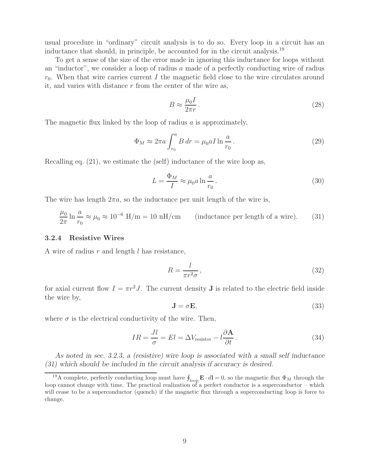usual procedure in "ordinary" circuit analysis is to do so. Every loop in a circuit has an inductance that should, in principle, be accounted for in the circuit analysis.<sup>19</sup>

To get a sense of the size of the error made in ignoring this inductance for loops without an "inductor", we consider a loop of radius a made of a perfectly conducting wire of radius  $r_0$ . When that wire carries current I the magnetic field close to the wire circulates around it, and varies with distance  $r$  from the center of the wire as,

$$
B \approx \frac{\mu_0 I}{2\pi r} \,. \tag{28}
$$

The magnetic flux linked by the loop of radius  $\alpha$  is approximately,

$$
\Phi_M \approx 2\pi a \int_{r_0}^a B dr = \mu_0 a I \ln \frac{a}{r_0} \,. \tag{29}
$$

Recalling eq. (21), we estimate the (self) inductance of the wire loop as,

$$
L = \frac{\Phi_M}{I} \approx \mu_0 a \ln \frac{a}{r_0} \,. \tag{30}
$$

The wire has length  $2\pi a$ , so the inductance per unit length of the wire is,

$$
\frac{\mu_0}{2\pi} \ln \frac{a}{r_0} \approx \mu_0 \approx 10^{-6} \text{ H/m} = 10 \text{ nH/cm}
$$
 (inductance per length of a wire). (31)

#### **3.2.4 Resistive Wires**

A wire of radius  $r$  and length  $l$  has resistance,

$$
R = \frac{l}{\pi r^2 \sigma},\tag{32}
$$

for axial current flow  $I = \pi r^2 J$ . The current density **J** is related to the electric field inside the wire by,

$$
\mathbf{J} = \sigma \mathbf{E},\tag{33}
$$

where  $\sigma$  is the electrical conductivity of the wire. Then,

$$
IR = \frac{Jl}{\sigma} = El = \Delta V_{\text{resistor}} - l\frac{\partial \mathbf{A}}{\partial t}.
$$
\n(34)

*As noted in sec. 3.2.3, a (resistive) wire loop is associated with a small self inductance (31) which should be included in the circuit analysis if accuracy is desired.*

<sup>&</sup>lt;sup>19</sup>A complete, perfectly conducting loop must have  $\oint_{\text{loop}} \mathbf{E} \cdot d\mathbf{l} = 0$ , so the magnetic flux  $\Phi_M$  through the loop cannot change with time. The practical realization of a perfect conductor is a superconductor – which will cease to be a superconductor (quench) if the magnetic flux through a superconducting loop is force to change.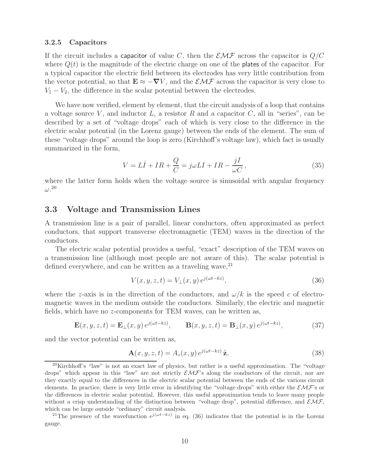#### **3.2.5 Capacitors**

If the circuit includes a capacitor of value C, then the  $\mathcal{EMF}$  across the capacitor is  $Q/C$ where  $Q(t)$  is the magnitude of the electric charge on one of the plates of the capacitor. For a typical capacitor the electric field between its electrodes has very little contribution from the vector potential, so that  $\mathbf{E} \approx -\nabla V$ , and the  $\mathcal{EMF}$  across the capacitor is very close to  $V_1 - V_2$ , the difference in the scalar potential between the electrodes.

We have now verified, element by element, that the circuit analysis of a loop that contains a voltage source V, and inductor L, a resistor R and a capacitor C, all in "series", can be described by a set of "voltage drops" each of which is very close to the difference in the electric scalar potential (in the Lorenz gauge) between the ends of the element. The sum of these "voltage drops" around the loop is zero (Kirchhoff's voltage law), which fact is usually summarized in the form,

$$
V = L\dot{I} + IR + \frac{Q}{C} = j\omega LI + IR - \frac{jI}{\omega C},
$$
\n(35)

where the latter form holds when the voltage source is sinusoidal with angular frequency  $\omega$ .<sup>20</sup>

## **3.3 Voltage and Transmission Lines**

A transmission line is a pair of parallel, linear conductors, often approximated as perfect conductors, that support transverse electromagnetic (TEM) waves in the direction of the conductors.

The electric scalar potential provides a useful, "exact" description of the TEM waves on a transmission line (although most people are not aware of this). The scalar potential is defined everywhere, and can be written as a traveling wave,  $2<sup>1</sup>$ 

$$
V(x, y, z, t) = V_{\perp}(x, y) e^{j(\omega t - kz)}, \qquad (36)
$$

where the z-axis is in the direction of the conductors, and  $\omega/k$  is the speed c of electromagnetic waves in the medium outside the conductors. Similarly, the electric and magnetic fields, which have no z-components for TEM waves, can be written as,

$$
\mathbf{E}(x, y, z, t) = \mathbf{E}_{\perp}(x, y) e^{j(\omega t - kz)}, \qquad \mathbf{B}(x, y, z, t) = \mathbf{B}_{\perp}(x, y) e^{j(\omega t - kz)}, \tag{37}
$$

and the vector potential can be written as,

$$
\mathbf{A}(x, y, z, t) = A_z(x, y) e^{j(\omega t - kz)} \hat{\mathbf{z}},
$$
\n(38)

<sup>20</sup>Kirchhoff's "law" is not an exact law of physics, but rather is a useful approximation. The "voltage drops" which appear in this "law" are not strictly  $\mathcal{EMF}$ 's along the conductors of the circuit, nor are they exactly equal to the differences in the electric scalar potential between the ends of the various circuit elements. In practice, there is very little error in identifying the "voltage drops" with either the  $\mathcal{EMF}$ 's or the differences in electric scalar potential. However, this useful approximation tends to leave many people without a crisp understanding of the distinction between "voltage drop", potential difference, and  $\mathcal{EMF}$ , which can be large outside "ordinary" circuit analysis.

<sup>&</sup>lt;sup>21</sup>The presence of the wavefunction  $e^{j(\omega t - kz)}$  in eq. (36) indicates that the potential is in the Lorenz gauge.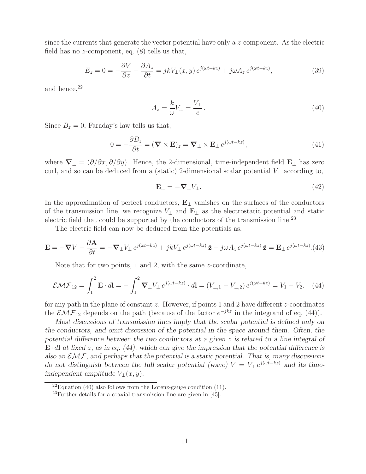since the currents that generate the vector potential have only a  $z$ -component. As the electric field has no z-component, eq.  $(8)$  tells us that,

$$
E_z = 0 = -\frac{\partial V}{\partial z} - \frac{\partial A_z}{\partial t} = jkV_{\perp}(x, y) e^{j(\omega t - kz)} + j\omega A_z e^{j(\omega t - kz)},
$$
\n(39)

and hence, $22$ 

$$
A_z = \frac{k}{\omega} V_{\perp} = \frac{V_{\perp}}{c} \,. \tag{40}
$$

Since  $B_z = 0$ , Faraday's law tells us that,

$$
0 = -\frac{\partial B_z}{\partial t} = (\mathbf{\nabla} \times \mathbf{E})_z = \mathbf{\nabla} \perp \times \mathbf{E} \perp e^{j(\omega t - kz)}, \tag{41}
$$

where  $\nabla_{\perp} = (\partial/\partial x, \partial/\partial y)$ . Hence, the 2-dimensional, time-independent field  $\mathbf{E}_{\perp}$  has zero curl, and so can be deduced from a (static) 2-dimensional scalar potential  $V_{\perp}$  according to,

$$
\mathbf{E}_{\perp} = -\mathbf{\nabla}_{\perp} V_{\perp}.
$$
 (42)

In the approximation of perfect conductors, **E**<sup>⊥</sup> vanishes on the surfaces of the conductors of the transmission line, we recognize <sup>V</sup><sup>⊥</sup> and **<sup>E</sup>**<sup>⊥</sup> as the electrostatic potential and static electric field that could be supported by the conductors of the transmission line.<sup>23</sup>

The electric field can now be deduced from the potentials as,

$$
\mathbf{E} = -\nabla V - \frac{\partial \mathbf{A}}{\partial t} = -\nabla_{\perp} V_{\perp} e^{j(\omega t - kz)} + jkV_{\perp} e^{j(\omega t - kz)} \hat{\mathbf{z}} - j\omega A_z e^{j(\omega t - kz)} \hat{\mathbf{z}} = \mathbf{E}_{\perp} e^{j(\omega t - kz)}.
$$
(43)

Note that for two points, 1 and 2, with the same z-coordinate,

$$
\mathcal{EMF}_{12} = \int_1^2 \mathbf{E} \cdot d\mathbf{l} = -\int_1^2 \mathbf{\nabla}_{\perp} V_{\perp} e^{j(\omega t - kz)} \cdot d\mathbf{l} = (V_{\perp,1} - V_{\perp,2}) e^{j(\omega t - kz)} = V_1 - V_2. \tag{44}
$$

for any path in the plane of constant  $z$ . However, if points 1 and 2 have different  $z$ -coordinates the  $\mathcal{EMF}_{12}$  depends on the path (because of the factor  $e^{-jkz}$  in the integrand of eq. (44)).

*Most discussions of transmission lines imply that the scalar potential is defined only on the conductors, and omit discussion of the potential in the space around them. Often, the potential difference between the two conductors at a given* z *is related to a line integral of* **<sup>E</sup>** · <sup>d</sup>**<sup>l</sup>** *at fixed* <sup>z</sup>*, as in eq. (44), which can give the impression that the potential difference is also an* EMF*, and perhaps that the potential is a static potential. That is, many discussions do not distinguish between the full scalar potential (wave)*  $V = V_{\perp} e^{j(\omega t - kz)}$  *and its timeindependent amplitude*  $V_1(x, y)$ .

 $^{22}$ Equation (40) also follows from the Lorenz-gauge condition (11).

 $^{23}$ Further details for a coaxial transmission line are given in [45].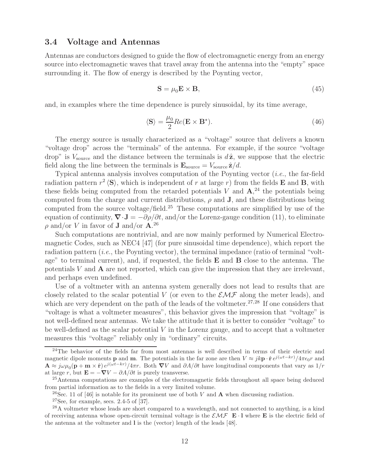## **3.4 Voltage and Antennas**

Antennas are conductors designed to guide the flow of electromagnetic energy from an energy source into electromagnetic waves that travel away from the antenna into the "empty" space surrounding it. The flow of energy is described by the Poynting vector,

$$
\mathbf{S} = \mu_0 \mathbf{E} \times \mathbf{B},\tag{45}
$$

and, in examples where the time dependence is purely sinusoidal, by its time average,

$$
\langle \mathbf{S} \rangle = \frac{\mu_0}{2} Re(\mathbf{E} \times \mathbf{B}^*). \tag{46}
$$

The energy source is usually characterized as a "voltage" source that delivers a known "voltage drop" across the "terminals" of the antenna. For example, if the source "voltage drop" is  $V_{\text{source}}$  and the distance between the terminals is  $d\hat{z}$ , we suppose that the electric field along the line between the terminals is  $\mathbf{E}_{\text{source}} = V_{\text{source}} \hat{\mathbf{z}}/d$ .

Typical antenna analysis involves computation of the Poynting vector (*i.e.*, the far-field radiation pattern  $r^2 \langle S \rangle$ , which is independent of r at large r) from the fields **E** and **B**, with these fields being computed from the retarded potentials  $V$  and  $\mathbf{A}$ <sup>24</sup>, the potentials being computed from the charge and current distributions,  $\rho$  and **J**, and these distributions being computed from the source voltage/field.<sup>25</sup> These computations are simplified by use of the equation of continuity,  $\nabla \cdot \mathbf{J} = -\partial \rho / \partial t$ , and/or the Lorenz-gauge condition (11), to eliminate  $\rho$  and/or V in favor of **J** and/or **A**.<sup>26</sup>

Such computations are nontrivial, and are now mainly performed by Numerical Electromagnetic Codes, such as NEC4 [47] (for pure sinusoidal time dependence), which report the radiation pattern (*i.e.*, the Poynting vector), the terminal impedance (ratio of terminal "voltage" to terminal current), and, if requested, the fields **E** and **B** close to the antenna. The potentials V and **A** are not reported, which can give the impression that they are irrelevant, and perhaps even undefined.

Use of a voltmeter with an antenna system generally does not lead to results that are closely related to the scalar potential V (or even to the  $\mathcal{EMF}$  along the meter leads), and which are very dependent on the path of the leads of the voltmeter.<sup>27,28</sup> If one considers that "voltage is what a voltmeter measures", this behavior gives the impression that "voltage" is not well-defined near antennas. We take the attitude that it is better to consider "voltage" to be well-defined as the scalar potential  $V$  in the Lorenz gauge, and to accept that a voltmeter measures this "voltage" reliably only in "ordinary" circuits.

 $24$ The behavior of the fields far from most antennas is well described in terms of their electric and magnetic dipole moments **p** and **m**. The potentials in the far zone are then  $V \approx jk\mathbf{p} \cdot \hat{\mathbf{r}} e^{j(\omega t - kr)} / 4\pi\epsilon_0 r$  and  $\mathbf{A} \approx j\omega\mu_0(\mathbf{p}+\mathbf{m}\times\hat{\mathbf{r}})e^{j(\omega t-kr)}/4\pi r$ . Both  $\nabla V$  and  $\partial A/\partial t$  have longitudinal components that vary as  $1/r$ at large r, but  $\mathbf{E} = -\nabla V - \partial A/\partial t$  is purely transverse.

<sup>&</sup>lt;sup>25</sup>Antenna computations are examples of the electromagnetic fields throughout all space being deduced from partial information as to the fields in a very limited volume.

<sup>&</sup>lt;sup>26</sup>Sec. 11 of [46] is notable for its prominent use of both V and **A** when discussing radiation.

 $27$ See, for example, secs. 2.4-5 of [37].

<sup>28</sup>A voltmeter whose leads are short compared to a wavelength, and not connected to anything, is a kind of receiving antenna whose open-circuit terminal voltage is the  $\mathcal{EMF}$  **E**  $\cdot$ **l** where **E** is the electric field of the antenna at the voltmeter and **l** is the (vector) length of the leads [48].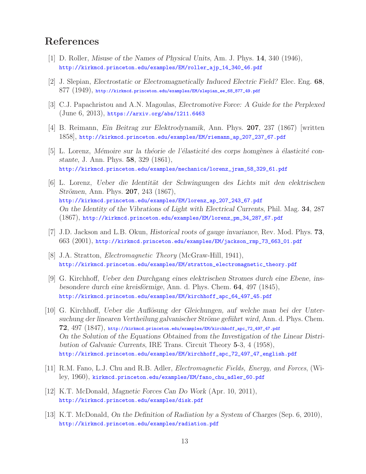# **References**

- [1] D. Roller, *Misuse of the Names of Physical Units*, Am. J. Phys. **14**, 340 (1946), http://kirkmcd.princeton.edu/examples/EM/roller\_ajp\_14\_340\_46.pdf
- [2] J. Slepian, *Electrostatic or Electromagnetically Induced Electric Field?* Elec. Eng. **68**,  $877$   $(1949)$ , http://kirkmcd.princeton.edu/examples/EM/slepian\_ee\_68\_877\_49.pdf
- [3] C.J. Papachristou and A.N. Magoulas, *Electromotive Force: A Guide for the Perplexed* (June 6, 2013), https://arxiv.org/abs/1211.6463
- [4] B. Reimann, *Ein Beitrag zur Elektrodynamik*, Ann. Phys. **207**, 237 (1867) [written 1858], http://kirkmcd.princeton.edu/examples/EM/riemann\_ap\_207\_237\_67.pdf
- [5] L. Lorenz, *Mémoire sur la théorie de l'élasticité des corps homgènes à élasticité constante*, J. Ann. Phys. **58**, 329 (1861), http://kirkmcd.princeton.edu/examples/mechanics/lorenz\_jram\_58\_329\_61.pdf
- [6] L. Lorenz, *Ueber die Identit¨at der Schwingungen des Lichts mit den elektrischen Strömen*, Ann. Phys. **207**, 243 (1867), http://kirkmcd.princeton.edu/examples/EM/lorenz\_ap\_207\_243\_67.pdf *On the Identity of the Vibrations of Light with Electrical Currents*, Phil. Mag. **34**, 287 (1867), http://kirkmcd.princeton.edu/examples/EM/lorenz\_pm\_34\_287\_67.pdf
- [7] J.D. Jackson and L.B. Okun, *Historical roots of gauge invariance*, Rev. Mod. Phys. **73**, 663 (2001), http://kirkmcd.princeton.edu/examples/EM/jackson\_rmp\_73\_663\_01.pdf
- [8] J.A. Stratton, *Electromagnetic Theory* (McGraw-Hill, 1941), http://kirkmcd.princeton.edu/examples/EM/stratton\_electromagnetic\_theory.pdf
- [9] G. Kirchhoff, *Ueber den Durchgang eines elektrischen Stromes durch eine Ebene, insbesondere durch eine kreisförmige*, Ann. d. Phys. Chem. **64**, 497 (1845), http://kirkmcd.princeton.edu/examples/EM/kirchhoff\_apc\_64\_497\_45.pdf
- [10] G. Kirchhoff, *Ueber die Auflösung der Gleichungen*, auf welche man bei der Untersuchung der linearen Vertheilung galvanischer Ströme geführt wird, Ann. d. Phys. Chem. **72**, 497 (1847), http://kirkmcd.princeton.edu/examples/EM/kirchhoff\_apc\_72\_497\_47.pdf *On the Solution of the Equations Obtained from the Investigation of the Linear Distribution of Galvanic Currents*, IRE Trans. Circuit Theory **5**-3, 4 (1958), http://kirkmcd.princeton.edu/examples/EM/kirchhoff\_apc\_72\_497\_47\_english.pdf
- [11] R.M. Fano, L.J. Chu and R.B. Adler, *Electromagnetic Fields, Energy, and Forces*, (Wiley, 1960), kirkmcd.princeton.edu/examples/EM/fano\_chu\_adler\_60.pdf
- [12] K.T. McDonald, *Magnetic Forces Can Do Work* (Apr. 10, 2011), http://kirkmcd.princeton.edu/examples/disk.pdf
- [13] K.T. McDonald, *On the Definition of Radiation by a System of Charges* (Sep. 6, 2010), http://kirkmcd.princeton.edu/examples/radiation.pdf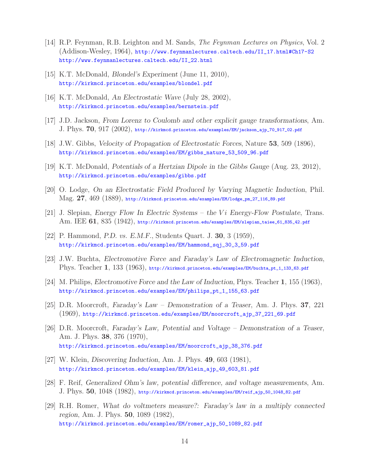- [14] R.P. Feynman, R.B. Leighton and M. Sands, *The Feynman Lectures on Physics*, Vol. 2 (Addison-Wesley, 1964), http://www.feynmanlectures.caltech.edu/II\_17.html#Ch17-S2 http://www.feynmanlectures.caltech.edu/II\_22.html
- [15] K.T. McDonald, *Blondel's Experiment* (June 11, 2010), http://kirkmcd.princeton.edu/examples/blondel.pdf
- [16] K.T. McDonald, *An Electrostatic Wave* (July 28, 2002), http://kirkmcd.princeton.edu/examples/bernstein.pdf
- [17] J.D. Jackson, *From Lorenz to Coulomb and other explicit gauge transformations*, Am. J. Phys. **70**, 917 (2002), http://kirkmcd.princeton.edu/examples/EM/jackson\_ajp\_70\_917\_02.pdf
- [18] J.W. Gibbs, *Velocity of Propagation of Electrostatic Forces*, Nature **53**, 509 (1896), http://kirkmcd.princeton.edu/examples/EM/gibbs\_nature\_53\_509\_96.pdf
- [19] K.T. McDonald, *Potentials of a Hertzian Dipole in the Gibbs Gauge* (Aug. 23, 2012), http://kirkmcd.princeton.edu/examples/gibbs.pdf
- [20] O. Lodge, *On an Electrostatic Field Produced by Varying Magnetic Induction*, Phil. Mag. **27**, 469 (1889), http://kirkmcd.princeton.edu/examples/EM/lodge\_pm\_27\_116\_89.pdf
- [21] J. Slepian, *Energy Flow In Electric Systems the* Vi *Energy-Flow Postulate*, Trans. Am. IEE **61**, 835 (1942), http://kirkmcd.princeton.edu/examples/EM/slepian\_taiee\_61\_835\_42.pdf
- [22] P. Hammond, *P.D. vs. E.M.F.*, Students Quart. J. **30**, 3 (1959), http://kirkmcd.princeton.edu/examples/EM/hammond\_sqj\_30\_3\_59.pdf
- [23] J.W. Buchta, *Electromotive Force and Faraday's Law of Electromagnetic Induction*, Phys. Teacher 1, 133 (1963), http://kirkmcd.princeton.edu/examples/EM/buchta\_pt\_1\_133\_63.pdf
- [24] M. Philips, *Electromotive Force and the Law of Induction*, Phys. Teacher **1**, 155 (1963), http://kirkmcd.princeton.edu/examples/EM/philips\_pt\_1\_155\_63.pdf
- [25] D.R. Moorcroft, *Faraday's Law Demonstration of a Teaser*, Am. J. Phys. **37**, 221 (1969), http://kirkmcd.princeton.edu/examples/EM/moorcroft\_ajp\_37\_221\_69.pdf
- [26] D.R. Moorcroft, *Faraday's Law, Potential and Voltage Demonstration of a Teaser*, Am. J. Phys. **38**, 376 (1970), http://kirkmcd.princeton.edu/examples/EM/moorcroft\_ajp\_38\_376.pdf
- [27] W. Klein, *Discovering Induction*, Am. J. Phys. **49**, 603 (1981), http://kirkmcd.princeton.edu/examples/EM/klein\_ajp\_49\_603\_81.pdf
- [28] F. Reif, *Generalized Ohm's law, potential difference, and voltage measurements*, Am. J. Phys. **50**, 1048 (1982), http://kirkmcd.princeton.edu/examples/EM/reif\_ajp\_50\_1048\_82.pdf
- [29] R.H. Romer, *What do voltmeters measure?: Faraday's law in a multiply connected region*, Am. J. Phys. **50**, 1089 (1982), http://kirkmcd.princeton.edu/examples/EM/romer\_ajp\_50\_1089\_82.pdf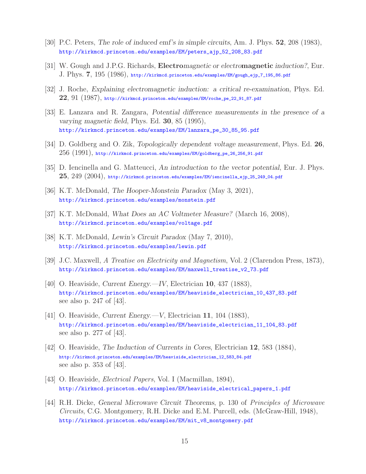- [30] P.C. Peters, *The role of induced emf's in simple circuits*, Am. J. Phys. **52**, 208 (1983), http://kirkmcd.princeton.edu/examples/EM/peters\_ajp\_52\_208\_83.pdf
- [31] W. Gough and J.P.G. Richards, **Electro***magnetic or electro***magnetic** *induction?*, Eur. J. Phys. **7**, 195 (1986), http://kirkmcd.princeton.edu/examples/EM/gough\_ejp\_7\_195\_86.pdf
- [32] J. Roche, *Explaining electromagnetic induction: a critical re-examination*, Phys. Ed. **22**, 91 (1987), http://kirkmcd.princeton.edu/examples/EM/roche\_pe\_22\_91\_87.pdf
- [33] E. Lanzara and R. Zangara, *Potential difference measurements in the presence of a varying magnetic field*, Phys. Ed. **30**, 85 (1995), http://kirkmcd.princeton.edu/examples/EM/lanzara\_pe\_30\_85\_95.pdf
- [34] D. Goldberg and O. Zik, *Topologically dependent voltage measurement*, Phys. Ed. **26**,  $256$   $(1991)$ , http://kirkmcd.princeton.edu/examples/EM/goldberg\_pe\_26\_256\_91.pdf
- [35] D. Iencinella and G. Matteucci, *An introduction to the vector potential*, Eur. J. Phys. **25**, 249 (2004), http://kirkmcd.princeton.edu/examples/EM/iencinella\_ejp\_25\_249\_04.pdf
- [36] K.T. McDonald, *The Hooper-Monstein Paradox* (May 3, 2021), http://kirkmcd.princeton.edu/examples/monstein.pdf
- [37] K.T. McDonald, *What Does an AC Voltmeter Measure?* (March 16, 2008), http://kirkmcd.princeton.edu/examples/voltage.pdf
- [38] K.T. McDonald, *Lewin's Circuit Paradox* (May 7, 2010), http://kirkmcd.princeton.edu/examples/lewin.pdf
- [39] J.C. Maxwell, *A Treatise on Electricity and Magnetism*, Vol. 2 (Clarendon Press, 1873), http://kirkmcd.princeton.edu/examples/EM/maxwell\_treatise\_v2\_73.pdf
- [40] O. Heaviside, *Current Energy.—IV*, Electrician **10**, 437 (1883), http://kirkmcd.princeton.edu/examples/EM/heaviside\_electrician\_10\_437\_83.pdf see also p. 247 of [43].
- [41] O. Heaviside, *Current Energy.—V*, Electrician **11**, 104 (1883), http://kirkmcd.princeton.edu/examples/EM/heaviside\_electrician\_11\_104\_83.pdf see also p. 277 of [43].
- [42] O. Heaviside, *The Induction of Currents in Cores*, Electrician **12**, 583 (1884), http://kirkmcd.princeton.edu/examples/EM/heaviside\_electrician\_12\_583\_84.pdf see also p. 353 of [43].
- [43] O. Heaviside, *Electrical Papers*, Vol. I (Macmillan, 1894), http://kirkmcd.princeton.edu/examples/EM/heaviside\_electrical\_papers\_1.pdf
- [44] R.H. Dicke, *General Microwave Circuit Theorems*, p. 130 of *Principles of Microwave Circuits*, C.G. Montgomery, R.H. Dicke and E.M. Purcell, eds. (McGraw-Hill, 1948), http://kirkmcd.princeton.edu/examples/EM/mit\_v8\_montgomery.pdf